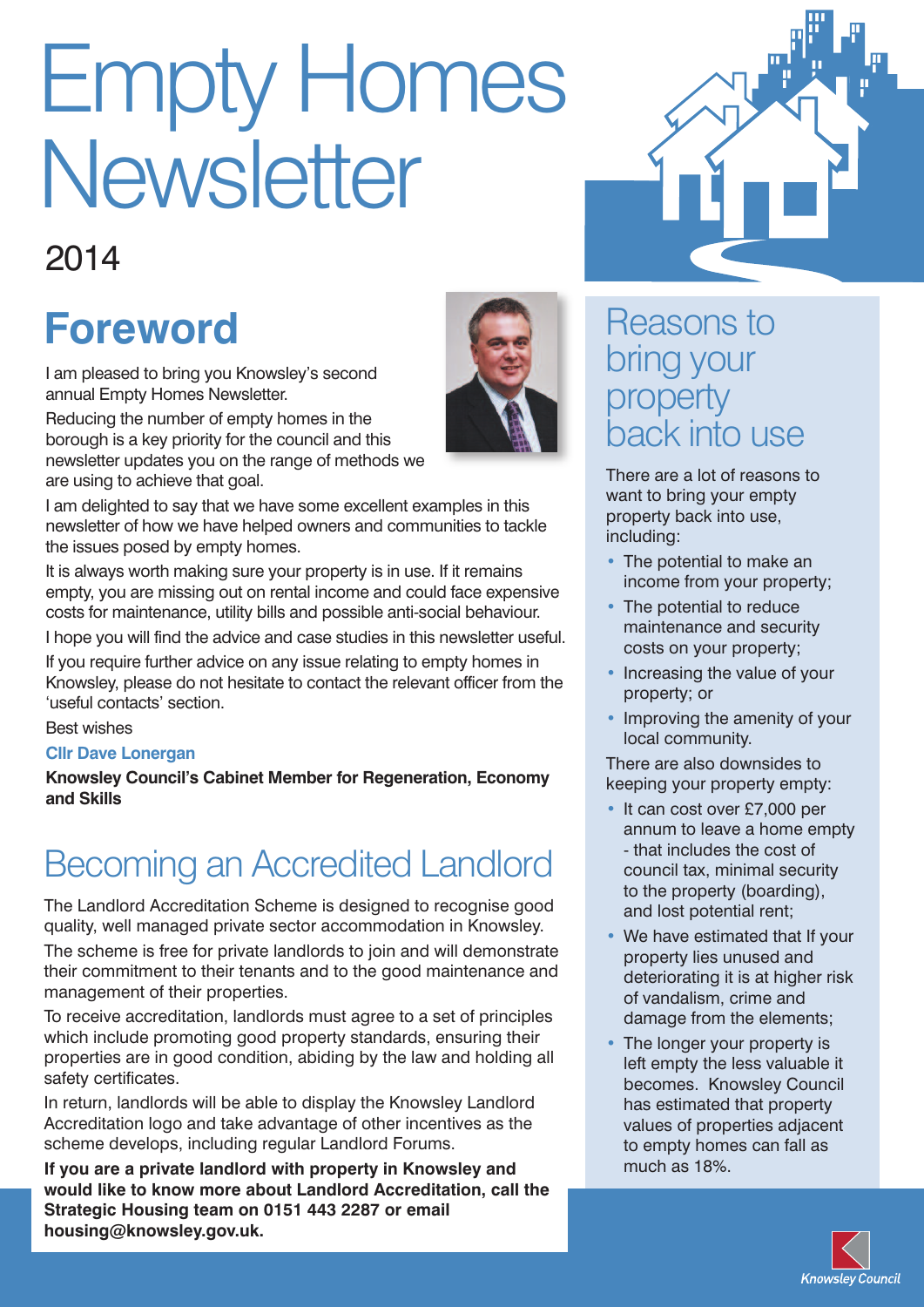# Empty Homes Newsletter

### 2014

## **Foreword**

I am pleased to bring you Knowsley's second annual Empty Homes Newsletter.

Reducing the number of empty homes in the borough is a key priority for the council and this newsletter updates you on the range of methods we are using to achieve that goal.

I am delighted to say that we have some excellent examples in this newsletter of how we have helped owners and communities to tackle the issues posed by empty homes.

It is always worth making sure your property is in use. If it remains empty, you are missing out on rental income and could face expensive costs for maintenance, utility bills and possible anti-social behaviour.

I hope you will find the advice and case studies in this newsletter useful.

If you require further advice on any issue relating to empty homes in Knowsley, please do not hesitate to contact the relevant officer from the 'useful contacts' section.

Best wishes

#### **Cllr Dave Lonergan**

**Knowsley Council's Cabinet Member for Regeneration, Economy and Skills**

## Becoming an Accredited Landlord

The Landlord Accreditation Scheme is designed to recognise good quality, well managed private sector accommodation in Knowsley.

The scheme is free for private landlords to join and will demonstrate their commitment to their tenants and to the good maintenance and management of their properties.

To receive accreditation, landlords must agree to a set of principles which include promoting good property standards, ensuring their properties are in good condition, abiding by the law and holding all safety certificates.

In return, landlords will be able to display the Knowsley Landlord Accreditation logo and take advantage of other incentives as the scheme develops, including regular Landlord Forums.

**If you are a private landlord with property in Knowsley and would like to know more about Landlord Accreditation, call the Strategic Housing team on 0151 443 2287 or email housing@knowsley.gov.uk.**



There are a lot of reasons to want to bring your empty property back into use, including:

- The potential to make an income from your property;
- The potential to reduce maintenance and security costs on your property;
- Increasing the value of your property; or
- Improving the amenity of your local community.

There are also downsides to keeping your property empty:

- It can cost over £7,000 per annum to leave a home empty - that includes the cost of council tax, minimal security to the property (boarding), and lost potential rent;
- We have estimated that If your property lies unused and deteriorating it is at higher risk of vandalism, crime and damage from the elements;
- The longer your property is left empty the less valuable it becomes. Knowsley Council has estimated that property values of properties adjacent to empty homes can fall as much as 18%.



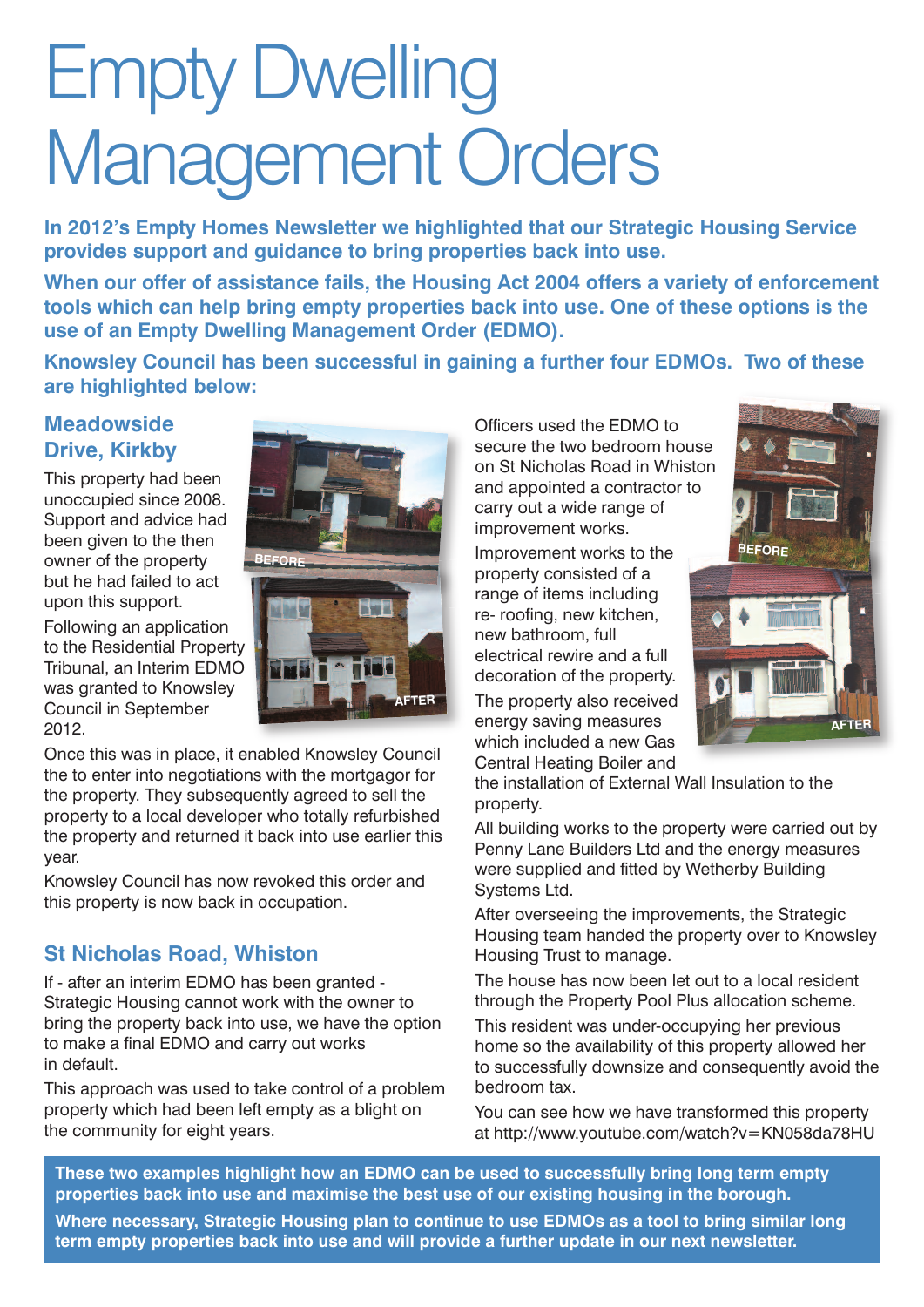# Management Orders EmptyDwelling

**In 2012's Empty Homes Newsletter we highlighted that our Strategic Housing Service provides support and guidance to bring properties back into use.**

**When our offer of assistance fails, the Housing Act 2004 offers a variety of enforcement tools which can help bring empty properties back into use. One of these options is the use of an Empty Dwelling Management Order (EDMO).**

**Knowsley Council has been successful in gaining a further four EDMOs. Two of these are highlighted below:**

#### **Meadowside Drive, Kirkby**

This property had been unoccupied since 2008. Support and advice had been given to the then owner of the property but he had failed to act upon this support.

Following an application to the Residential Property Tribunal, an Interim EDMO was granted to Knowsley Council in September 2012.



Once this was in place, it enabled Knowsley Council the to enter into negotiations with the mortgagor for the property. They subsequently agreed to sell the property to a local developer who totally refurbished the property and returned it back into use earlier this year.

Knowsley Council has now revoked this order and this property is now back in occupation.

#### **St Nicholas Road, Whiston**

If - after an interim EDMO has been granted - Strategic Housing cannot work with the owner to bring the property back into use, we have the option to make a final EDMO and carry out works in default.

This approach was used to take control of a problem property which had been left empty as a blight on the community for eight years.

Officers used the EDMO to secure the two bedroom house on St Nicholas Road in Whiston and appointed a contractor to carry out a wide range of improvement works.

Improvement works to the property consisted of a range of items including re- roofing, new kitchen, new bathroom, full electrical rewire and a full decoration of the property.

The property also received energy saving measures which included a new Gas Central Heating Boiler and



the installation of External Wall Insulation to the property.

All building works to the property were carried out by Penny Lane Builders Ltd and the energy measures were supplied and fitted by Wetherby Building Systems Ltd.

After overseeing the improvements, the Strategic Housing team handed the property over to Knowsley Housing Trust to manage.

The house has now been let out to a local resident through the Property Pool Plus allocation scheme.

This resident was under-occupying her previous home so the availability of this property allowed her to successfully downsize and consequently avoid the bedroom tax.

You can see how we have transformed this property at http://www.youtube.com/watch?v=KN058da78HU

**These two examples highlight how an EDMO can be used to successfully bring long term empty properties back into use and maximise the best use of our existing housing in the borough.**

**Where necessary, Strategic Housing plan to continue to use EDMOs as a tool to bring similar long term empty properties back into use and will provide a further update in our next newsletter.**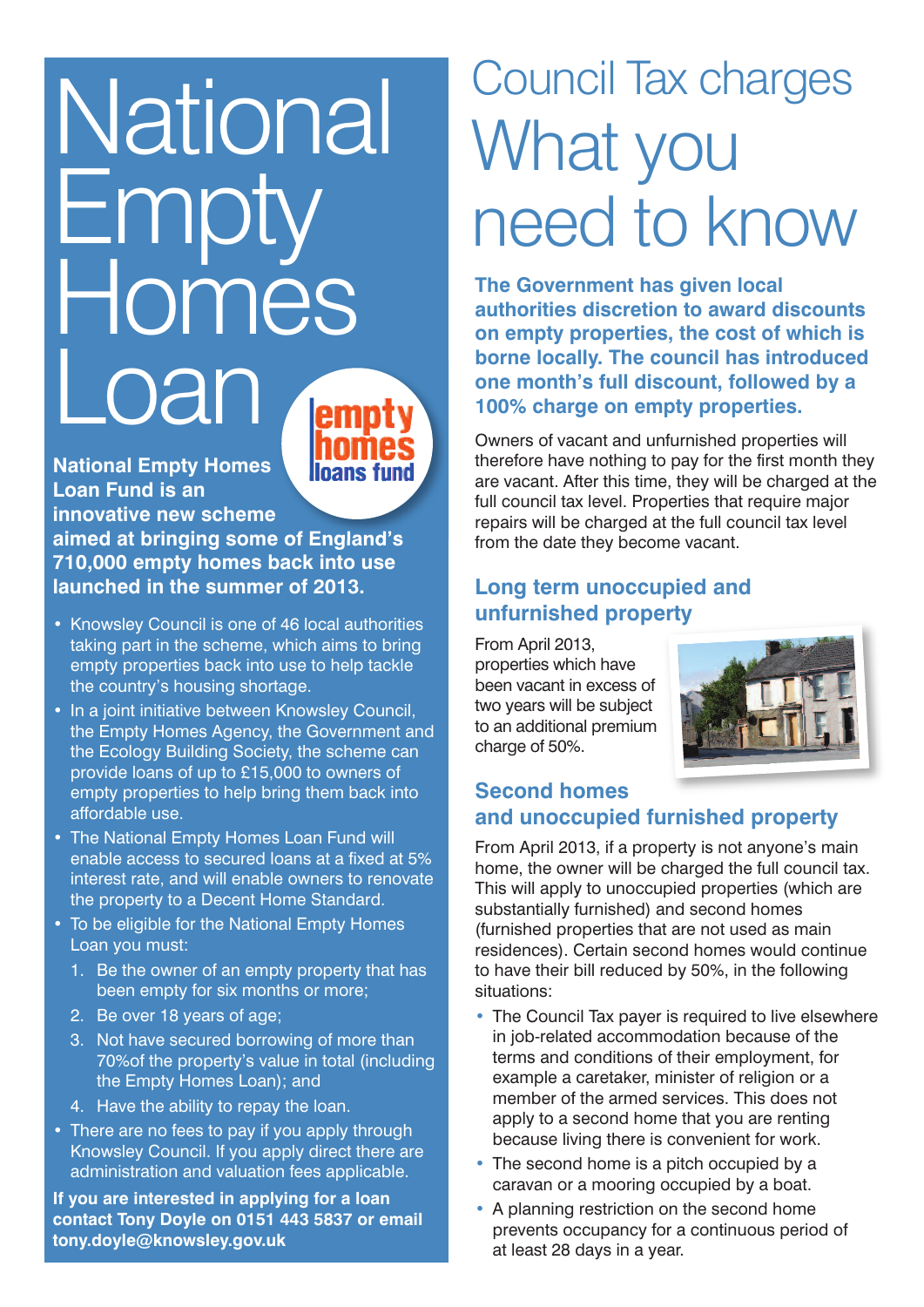# **National**<br>Empty Empty Homes **Dar**

**National Empty Homes Loan Fund is an innovative new scheme aimed at bringing some of England's 710,000 empty homes back into use launched in the summer of 2013.**

- Knowsley Council is one of 46 local authorities taking part in the scheme, which aims to bring empty properties back into use to help tackle the country's housing shortage.
- In a joint initiative between Knowsley Council, the Empty Homes Agency, the Government and the Ecology Building Society, the scheme can provide loans of up to £15,000 to owners of empty properties to help bring them back into affordable use.
- The National Empty Homes Loan Fund will enable access to secured loans at a fixed at 5% interest rate, and will enable owners to renovate the property to a Decent Home Standard.
- To be eligible for the National Empty Homes Loan you must:
	- 1. Be the owner of an empty property that has been empty for six months or more;
	- 2. Be over 18 years of age;
	- 3. Not have secured borrowing of more than 70%of the property's value in total (including the Empty Homes Loan); and
	- 4. Have the ability to repay the loan.
- There are no fees to pay if you apply through Knowsley Council. If you apply direct there are administration and valuation fees applicable.

**If you are interested in applying for a loan contact Tony Doyle on 0151 443 5837 or email tony.doyle@knowsley.gov.uk**

## Council Tax charges What you need to know

**The Government has given local authorities discretion to award discounts on empty properties, the cost of which is borne locally. The council has introduced one month's full discount, followed by a 100% charge on empty properties.**

Owners of vacant and unfurnished properties will therefore have nothing to pay for the first month they are vacant. After this time, they will be charged at the full council tax level. Properties that require major repairs will be charged at the full council tax level from the date they become vacant.

#### **Long term unoccupied and unfurnished property**

From April 2013, properties which have been vacant in excess of two years will be subject to an additional premium charge of 50%.



#### **Second homes and unoccupied furnished property**

From April 2013, if a property is not anyone's main home, the owner will be charged the full council tax. This will apply to unoccupied properties (which are substantially furnished) and second homes (furnished properties that are not used as main residences). Certain second homes would continue to have their bill reduced by 50%, in the following situations:

- The Council Tax payer is required to live elsewhere in job-related accommodation because of the terms and conditions of their employment, for example a caretaker, minister of religion or a member of the armed services. This does not apply to a second home that you are renting because living there is convenient for work.
- The second home is a pitch occupied by a caravan or a mooring occupied by a boat.
- A planning restriction on the second home prevents occupancy for a continuous period of at least 28 days in a year.